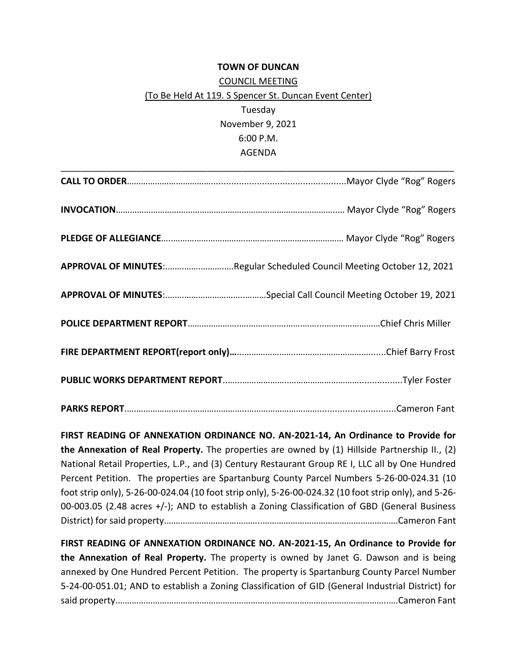## **TOWN OF DUNCAN**

## COUNCIL MEETING (To Be Held At 119. S Spencer St. Duncan Event Center) Tuesday November 9, 2021 6:00 P.M. AGENDA

| APPROVAL OF MINUTES: Regular Scheduled Council Meeting October 12, 2021 |  |
|-------------------------------------------------------------------------|--|
|                                                                         |  |
|                                                                         |  |
|                                                                         |  |
|                                                                         |  |
|                                                                         |  |

**FIRST READING OF ANNEXATION ORDINANCE NO. AN-2021-14, An Ordinance to Provide for the Annexation of Real Property.** The properties are owned by (1) Hillside Partnership II., (2) National Retail Properties, L.P., and (3) Century Restaurant Group RE I, LLC all by One Hundred Percent Petition. The properties are Spartanburg County Parcel Numbers 5-26-00-024.31 (10 foot strip only), 5-26-00-024.04 (10 foot strip only), 5-26-00-024.32 (10 foot strip only), and 5-26- 00-003.05 (2.48 acres +/-); AND to establish a Zoning Classification of GBD (General Business District) for said property.…………………………………..………………………………………………….Cameron Fant

**FIRST READING OF ANNEXATION ORDINANCE NO. AN-2021-15, An Ordinance to Provide for the Annexation of Real Property.** The property is owned by Janet G. Dawson and is being annexed by One Hundred Percent Petition. The property is Spartanburg County Parcel Number 5-24-00-051.01; AND to establish a Zoning Classification of GID (General Industrial District) for said property.……………………………………………………………………………………………………..….Cameron Fant